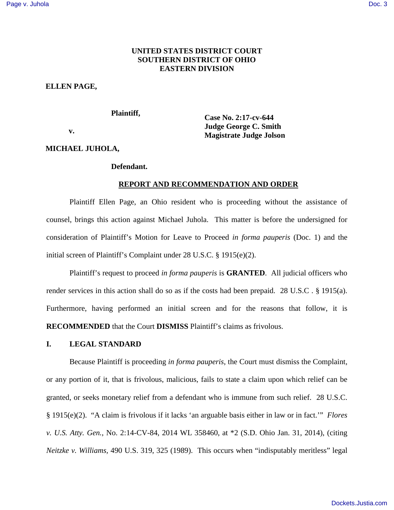# **UNITED STATES DISTRICT COURT SOUTHERN DISTRICT OF OHIO EASTERN DIVISION**

## **ELLEN PAGE,**

### **Plaintiff,**

 **v.** 

**Case No. 2:17-cv-644 Judge George C. Smith Magistrate Judge Jolson** 

# **MICHAEL JUHOLA,**

### **Defendant.**

# **REPORT AND RECOMMENDATION AND ORDER**

Plaintiff Ellen Page, an Ohio resident who is proceeding without the assistance of counsel, brings this action against Michael Juhola. This matter is before the undersigned for consideration of Plaintiff's Motion for Leave to Proceed *in forma pauperis* (Doc. 1) and the initial screen of Plaintiff's Complaint under 28 U.S.C. § 1915(e)(2).

Plaintiff's request to proceed *in forma pauperis* is **GRANTED**. All judicial officers who render services in this action shall do so as if the costs had been prepaid. 28 U.S.C . § 1915(a). Furthermore, having performed an initial screen and for the reasons that follow, it is **RECOMMENDED** that the Court **DISMISS** Plaintiff's claims as frivolous.

## **I. LEGAL STANDARD**

Because Plaintiff is proceeding *in forma pauperis*, the Court must dismiss the Complaint, or any portion of it, that is frivolous, malicious, fails to state a claim upon which relief can be granted, or seeks monetary relief from a defendant who is immune from such relief. 28 U.S.C. § 1915(e)(2). "A claim is frivolous if it lacks 'an arguable basis either in law or in fact.'" *Flores v. U.S. Atty. Gen.*, No. 2:14-CV-84, 2014 WL 358460, at \*2 (S.D. Ohio Jan. 31, 2014), (citing *Neitzke v. Williams,* 490 U.S. 319, 325 (1989). This occurs when "indisputably meritless" legal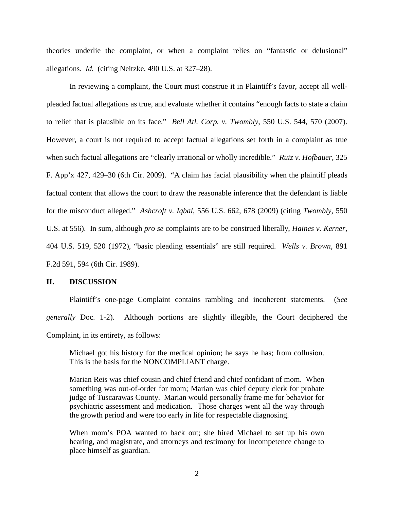theories underlie the complaint, or when a complaint relies on "fantastic or delusional" allegations. *Id.* (citing Neitzke, 490 U.S. at 327–28).

In reviewing a complaint, the Court must construe it in Plaintiff's favor, accept all wellpleaded factual allegations as true, and evaluate whether it contains "enough facts to state a claim to relief that is plausible on its face." *Bell Atl. Corp. v. Twombly*, 550 U.S. 544, 570 (2007). However, a court is not required to accept factual allegations set forth in a complaint as true when such factual allegations are "clearly irrational or wholly incredible." *Ruiz v. Hofbauer,* 325 F. App'x 427, 429–30 (6th Cir. 2009). "A claim has facial plausibility when the plaintiff pleads factual content that allows the court to draw the reasonable inference that the defendant is liable for the misconduct alleged." *Ashcroft v. Iqbal*, 556 U.S. 662, 678 (2009) (citing *Twombly*, 550 U.S. at 556). In sum, although *pro se* complaints are to be construed liberally, *Haines v. Kerner*, 404 U.S. 519, 520 (1972), "basic pleading essentials" are still required. *Wells v. Brown*, 891 F.2d 591, 594 (6th Cir. 1989).

#### **II. DISCUSSION**

Plaintiff's one-page Complaint contains rambling and incoherent statements. (*See generally* Doc. 1-2). Although portions are slightly illegible, the Court deciphered the Complaint, in its entirety, as follows:

Michael got his history for the medical opinion; he says he has; from collusion. This is the basis for the NONCOMPLIANT charge.

Marian Reis was chief cousin and chief friend and chief confidant of mom. When something was out-of-order for mom; Marian was chief deputy clerk for probate judge of Tuscarawas County. Marian would personally frame me for behavior for psychiatric assessment and medication. Those charges went all the way through the growth period and were too early in life for respectable diagnosing.

When mom's POA wanted to back out; she hired Michael to set up his own hearing, and magistrate, and attorneys and testimony for incompetence change to place himself as guardian.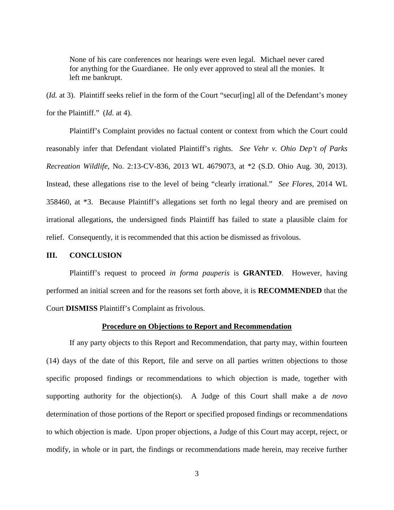None of his care conferences nor hearings were even legal. Michael never cared for anything for the Guardianee. He only ever approved to steal all the monies. It left me bankrupt.

(*Id.* at 3). Plaintiff seeks relief in the form of the Court "secur[ing] all of the Defendant's money for the Plaintiff." (*Id.* at 4).

Plaintiff's Complaint provides no factual content or context from which the Court could reasonably infer that Defendant violated Plaintiff's rights. *See Vehr v. Ohio Dep't of Parks Recreation Wildlife*, No. 2:13-CV-836, 2013 WL 4679073, at \*2 (S.D. Ohio Aug. 30, 2013). Instead, these allegations rise to the level of being "clearly irrational." *See Flores*, 2014 WL 358460, at \*3. Because Plaintiff's allegations set forth no legal theory and are premised on irrational allegations, the undersigned finds Plaintiff has failed to state a plausible claim for relief. Consequently, it is recommended that this action be dismissed as frivolous.

## **III. CONCLUSION**

Plaintiff's request to proceed *in forma pauperis* is **GRANTED**. However, having performed an initial screen and for the reasons set forth above, it is **RECOMMENDED** that the Court **DISMISS** Plaintiff's Complaint as frivolous.

### **Procedure on Objections to Report and Recommendation**

If any party objects to this Report and Recommendation, that party may, within fourteen (14) days of the date of this Report, file and serve on all parties written objections to those specific proposed findings or recommendations to which objection is made, together with supporting authority for the objection(s). A Judge of this Court shall make a *de novo* determination of those portions of the Report or specified proposed findings or recommendations to which objection is made. Upon proper objections, a Judge of this Court may accept, reject, or modify, in whole or in part, the findings or recommendations made herein, may receive further